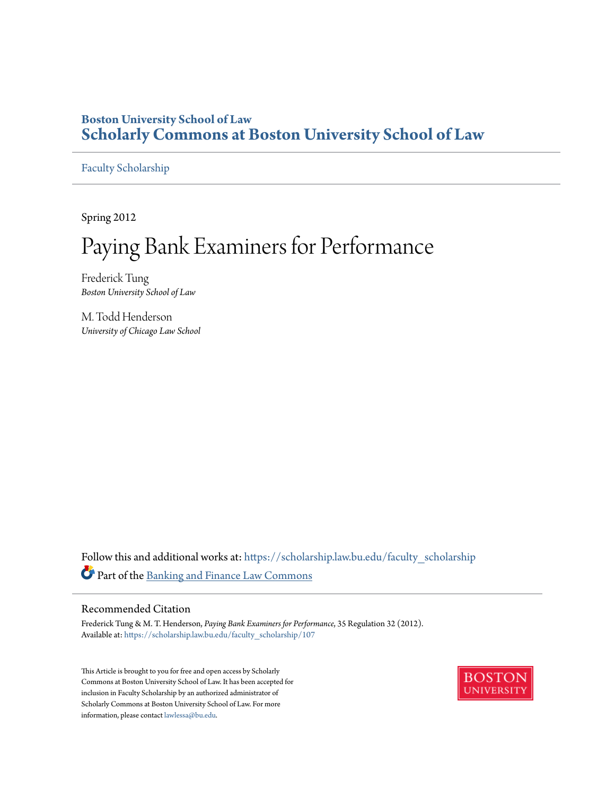#### **Boston University School of Law [Scholarly Commons at Boston University School of Law](https://scholarship.law.bu.edu?utm_source=scholarship.law.bu.edu%2Ffaculty_scholarship%2F107&utm_medium=PDF&utm_campaign=PDFCoverPages)**

[Faculty Scholarship](https://scholarship.law.bu.edu/faculty_scholarship?utm_source=scholarship.law.bu.edu%2Ffaculty_scholarship%2F107&utm_medium=PDF&utm_campaign=PDFCoverPages)

Spring 2012

## Paying Bank Examiners for Performance

Frederick Tung *Boston University School of Law*

M. Todd Henderson *University of Chicago Law School*

Follow this and additional works at: [https://scholarship.law.bu.edu/faculty\\_scholarship](https://scholarship.law.bu.edu/faculty_scholarship?utm_source=scholarship.law.bu.edu%2Ffaculty_scholarship%2F107&utm_medium=PDF&utm_campaign=PDFCoverPages) Part of the [Banking and Finance Law Commons](http://network.bepress.com/hgg/discipline/833?utm_source=scholarship.law.bu.edu%2Ffaculty_scholarship%2F107&utm_medium=PDF&utm_campaign=PDFCoverPages)

#### Recommended Citation

Frederick Tung & M. T. Henderson, *Paying Bank Examiners for Performance*, 35 Regulation 32 (2012). Available at: [https://scholarship.law.bu.edu/faculty\\_scholarship/107](https://scholarship.law.bu.edu/faculty_scholarship/107?utm_source=scholarship.law.bu.edu%2Ffaculty_scholarship%2F107&utm_medium=PDF&utm_campaign=PDFCoverPages)

This Article is brought to you for free and open access by Scholarly Commons at Boston University School of Law. It has been accepted for inclusion in Faculty Scholarship by an authorized administrator of Scholarly Commons at Boston University School of Law. For more information, please contact [lawlessa@bu.edu.](mailto:lawlessa@bu.edu)

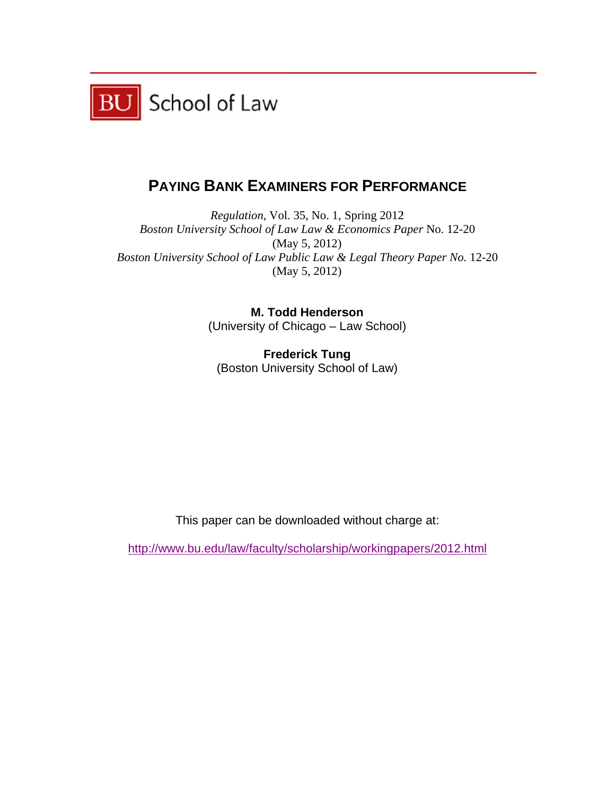

### **PAYING BANK EXAMINERS FOR PERFORMANCE**

Boston University School of Law Law & Economics Paper No. 12-20 Boston University School of Law Public Law & Legal Theory Paper No. 12-20 *Regulation*, Vol. 35, No. 1, Spring 2012 (M ay 5, 2012) (M ay 5, 2012)

> (Uni versity of C Chicago – L Law School ) **M. Todd Henderson**

(Boston University School of Law) **Frederick Tung** 

This paper can be downloaded without charge at:

http://www.bu.edu/law/faculty/scholarship/workingpapers/2012.html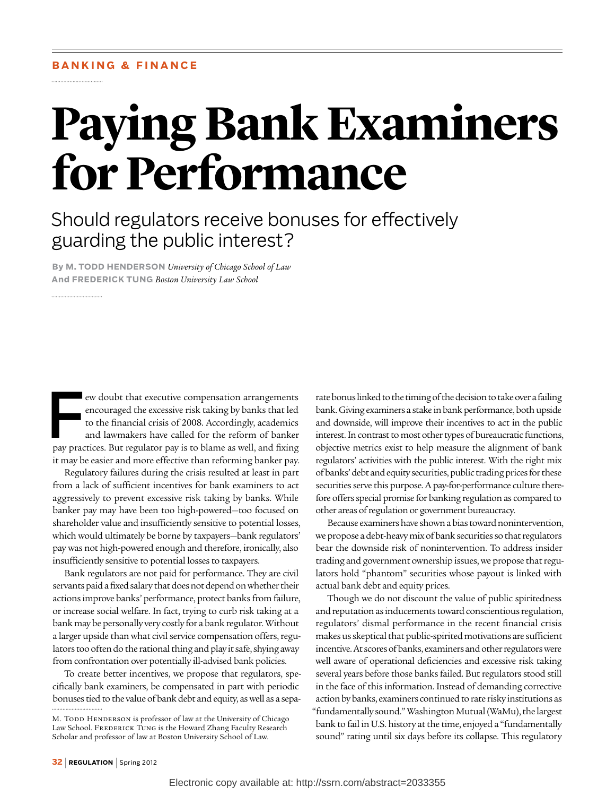# **Paying Bank Examiners for Performance**

## Should regulators receive bonuses for effectively guarding the public interest?

**By M. Todd Henderson** *University of Chicago School of Law* **And Frederick Tung** *Boston University Law School*

EV ew doubt that executive compensation arrangements<br>encouraged the excessive risk taking by banks that led<br>to the financial crisis of 2008. Accordingly, academics<br>and lawmakers have called for the reform of banker<br>pay pra encouraged the excessive risk taking by banks that led to the financial crisis of 2008. Accordingly, academics and lawmakers have called for the reform of banker pay practices. But regulator pay is to blame as well, and fixing it may be easier and more effective than reforming banker pay.

Regulatory failures during the crisis resulted at least in part from a lack of sufficient incentives for bank examiners to act aggressively to prevent excessive risk taking by banks. While banker pay may have been too high-powered—too focused on shareholder value and insufficiently sensitive to potential losses, which would ultimately be borne by taxpayers—bank regulators' pay was not high-powered enough and therefore, ironically, also insufficiently sensitive to potential losses to taxpayers.

Bank regulators are not paid for performance. They are civil servants paid a fixed salary that does not depend on whether their actions improve banks' performance, protect banks from failure, or increase social welfare. In fact, trying to curb risk taking at a bank may be personally very costly for a bank regulator. Without a larger upside than what civil service compensation offers, regulators too often do the rational thing and play it safe, shying away from confrontation over potentially ill-advised bank policies.

To create better incentives, we propose that regulators, specifically bank examiners, be compensated in part with periodic bonuses tied to the value of bank debt and equity, as well as a separate bonus linked to the timing of the decision to take over a failing bank. Giving examiners a stake in bank performance, both upside and downside, will improve their incentives to act in the public interest. In contrast to most other types of bureaucratic functions, objective metrics exist to help measure the alignment of bank regulators' activities with the public interest. With the right mix of banks' debt and equity securities, public trading prices for these securities serve this purpose. A pay-for-performance culture therefore offers special promise for banking regulation as compared to other areas of regulation or government bureaucracy.

Because examiners have shown a bias toward nonintervention, we propose a debt-heavy mix of bank securities so that regulators bear the downside risk of nonintervention. To address insider trading and government ownership issues, we propose that regulators hold "phantom" securities whose payout is linked with actual bank debt and equity prices.

Though we do not discount the value of public spiritedness and reputation as inducements toward conscientious regulation, regulators' dismal performance in the recent financial crisis makes us skeptical that public-spirited motivations are sufficient incentive. At scores of banks, examiners and other regulators were well aware of operational deficiencies and excessive risk taking several years before those banks failed. But regulators stood still in the face of this information. Instead of demanding corrective action by banks, examiners continued to rate risky institutions as "fundamentally sound." Washington Mutual (WaMu), the largest bank to fail in U.S. history at the time, enjoyed a "fundamentally sound" rating until six days before its collapse. This regulatory

M. TODD HENDERSON is professor of law at the University of Chicago Law School. FREDERICK TUNG is the Howard Zhang Faculty Research Scholar and professor of law at Boston University School of Law.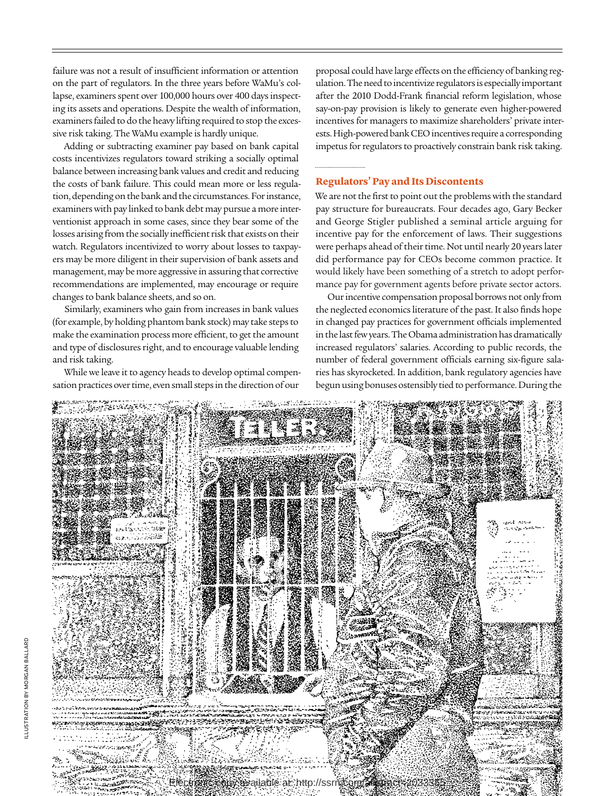failure was not a result of insufficient information or attention on the part of regulators. In the three years before WaMu's collapse, examiners spent over 100,000 hours over 400 days inspecting its assets and operations. Despite the wealth of information, examiners failed to do the heavy lifting required to stop the excessive risk taking. The WaMu example is hardly unique.

Adding or subtracting examiner pay based on bank capital costs incentivizes regulators toward striking a socially optimal balance between increasing bank values and credit and reducing the costs of bank failure. This could mean more or less regulation, depending on the bank and the circumstances. For instance, examiners with pay linked to bank debt may pursue a more interventionist approach in some cases, since they bear some of the losses arising from the socially inefficient risk that exists on their watch. Regulators incentivized to worry about losses to taxpayers may be more diligent in their supervision of bank assets and management, may be more aggressive in assuring that corrective recommendations are implemented, may encourage or require changes to bank balance sheets, and so on.

Similarly, examiners who gain from increases in bank values (for example, by holding phantom bank stock) may take steps to make the examination process more efficient, to get the amount and type of disclosures right, and to encourage valuable lending and risk taking.

While we leave it to agency heads to develop optimal compensation practices over time, even small steps in the direction of our

proposal could have large effects on the efficiency of banking regulation. The need to incentivize regulators is especially important after the 2010 Dodd-Frank financial reform legislation, whose say-on-pay provision is likely to generate even higher-powered incentives for managers to maximize shareholders' private interests. High-powered bank CEO incentives require a corresponding impetus for regulators to proactively constrain bank risk taking.

#### **Regulators' Pay and Its Discontents**

We are not the first to point out the problems with the standard pay structure for bureaucrats. Four decades ago, Gary Becker and George Stigler published a seminal article arguing for incentive pay for the enforcement of laws. Their suggestions were perhaps ahead of their time. Not until nearly 20 years later did performance pay for CEOs become common practice. It would likely have been something of a stretch to adopt performance pay for government agents before private sector actors.

Our incentive compensation proposal borrows not only from the neglected economics literature of the past. It also finds hope in changed pay practices for government officials implemented in the last few years. The Obama administration has dramatically increased regulators' salaries. According to public records, the number of federal government officials earning six-figure salaries has skyrocketed. In addition, bank regulatory agencies have begun using bonuses ostensibly tied to performance. During the

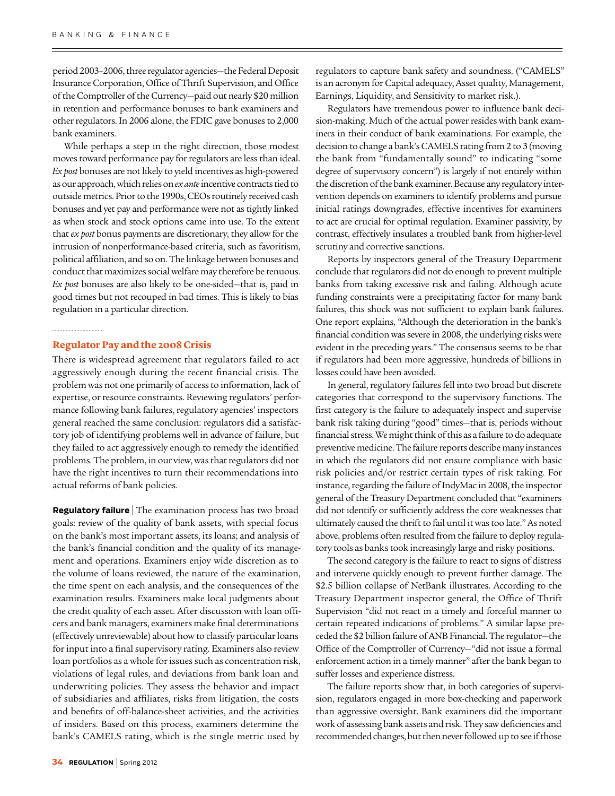period 2003–2006, three regulator agencies—the Federal Deposit Insurance Corporation, Office of Thrift Supervision, and Office of the Comptroller of the Currency—paid out nearly \$20 million in retention and performance bonuses to bank examiners and other regulators. In 2006 alone, the FDIC gave bonuses to 2,000 bank examiners.

While perhaps a step in the right direction, those modest moves toward performance pay for regulators are less than ideal. *Ex post* bonuses are not likely to yield incentives as high-powered as our approach, which relies on *ex ante* incentive contracts tied to outside metrics. Prior to the 1990s, CEOs routinely received cash bonuses and yet pay and performance were not as tightly linked as when stock and stock options came into use. To the extent that *ex post* bonus payments are discretionary, they allow for the intrusion of nonperformance-based criteria, such as favoritism, political affiliation, and so on. The linkage between bonuses and conduct that maximizes social welfare may therefore be tenuous. *Ex post* bonuses are also likely to be one-sided—that is, paid in good times but not recouped in bad times. This is likely to bias regulation in a particular direction.

#### **Regulator Pay and the 2008 Crisis**

There is widespread agreement that regulators failed to act aggressively enough during the recent financial crisis. The problem was not one primarily of access to information, lack of expertise, or resource constraints. Reviewing regulators' performance following bank failures, regulatory agencies' inspectors general reached the same conclusion: regulators did a satisfactory job of identifying problems well in advance of failure, but they failed to act aggressively enough to remedy the identified problems. The problem, in our view, was that regulators did not have the right incentives to turn their recommendations into actual reforms of bank policies.

**Regulatory failure** | The examination process has two broad goals: review of the quality of bank assets, with special focus on the bank's most important assets, its loans; and analysis of the bank's financial condition and the quality of its management and operations. Examiners enjoy wide discretion as to the volume of loans reviewed, the nature of the examination, the time spent on each analysis, and the consequences of the examination results. Examiners make local judgments about the credit quality of each asset. After discussion with loan officers and bank managers, examiners make final determinations (effectively unreviewable) about how to classify particular loans for input into a final supervisory rating. Examiners also review loan portfolios as a whole for issues such as concentration risk, violations of legal rules, and deviations from bank loan and underwriting policies. They assess the behavior and impact of subsidiaries and affiliates, risks from litigation, the costs and benefits of off-balance-sheet activities, and the activities of insiders. Based on this process, examiners determine the bank's CAMELS rating, which is the single metric used by

regulators to capture bank safety and soundness. ("CAMELS" is an acronym for Capital adequacy, Asset quality, Management, Earnings, Liquidity, and Sensitivity to market risk.).

Regulators have tremendous power to influence bank decision-making. Much of the actual power resides with bank examiners in their conduct of bank examinations. For example, the decision to change a bank's CAMELS rating from 2 to 3 (moving the bank from "fundamentally sound" to indicating "some degree of supervisory concern") is largely if not entirely within the discretion of the bank examiner. Because any regulatory intervention depends on examiners to identify problems and pursue initial ratings downgrades, effective incentives for examiners to act are crucial for optimal regulation. Examiner passivity, by contrast, effectively insulates a troubled bank from higher-level scrutiny and corrective sanctions.

Reports by inspectors general of the Treasury Department conclude that regulators did not do enough to prevent multiple banks from taking excessive risk and failing. Although acute funding constraints were a precipitating factor for many bank failures, this shock was not sufficient to explain bank failures. One report explains, "Although the deterioration in the bank's financial condition was severe in 2008, the underlying risks were evident in the preceding years." The consensus seems to be that if regulators had been more aggressive, hundreds of billions in losses could have been avoided.

In general, regulatory failures fell into two broad but discrete categories that correspond to the supervisory functions. The first category is the failure to adequately inspect and supervise bank risk taking during "good" times—that is, periods without financial stress. We might think of this as a failure to do adequate preventive medicine. The failure reports describe many instances in which the regulators did not ensure compliance with basic risk policies and/or restrict certain types of risk taking. For instance, regarding the failure of IndyMac in 2008, the inspector general of the Treasury Department concluded that "examiners did not identify or sufficiently address the core weaknesses that ultimately caused the thrift to fail until it was too late." As noted above, problems often resulted from the failure to deploy regulatory tools as banks took increasingly large and risky positions.

The second category is the failure to react to signs of distress and intervene quickly enough to prevent further damage. The \$2.5 billion collapse of NetBank illustrates. According to the Treasury Department inspector general, the Office of Thrift Supervision "did not react in a timely and forceful manner to certain repeated indications of problems." A similar lapse preceded the \$2 billion failure of ANB Financial. The regulator—the Office of the Comptroller of Currency—"did not issue a formal enforcement action in a timely manner" after the bank began to suffer losses and experience distress.

The failure reports show that, in both categories of supervision, regulators engaged in more box-checking and paperwork than aggressive oversight. Bank examiners did the important work of assessing bank assets and risk. They saw deficiencies and recommended changes, but then never followed up to see if those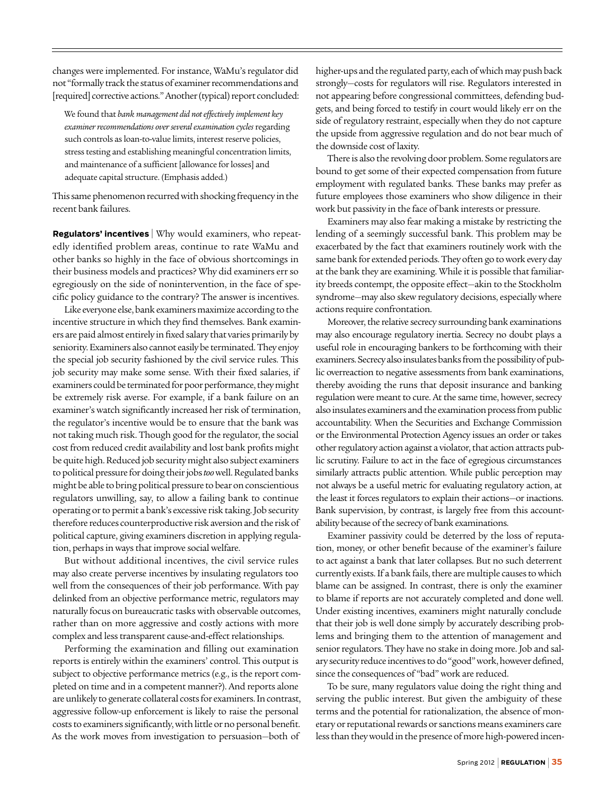changes were implemented. For instance, WaMu's regulator did not "formally track the status of examiner recommendations and [required] corrective actions." Another (typical) report concluded:

We found that *bank management did not effectively implement key examiner recommendations over several examination cycles* regarding such controls as loan-to-value limits, interest reserve policies, stress testing and establishing meaningful concentration limits, and maintenance of a sufficient [allowance for losses] and adequate capital structure. (Emphasis added.)

This same phenomenon recurred with shocking frequency in the recent bank failures.

**Regulators' incentives** | Why would examiners, who repeatedly identified problem areas, continue to rate WaMu and other banks so highly in the face of obvious shortcomings in their business models and practices? Why did examiners err so egregiously on the side of nonintervention, in the face of specific policy guidance to the contrary? The answer is incentives.

Like everyone else, bank examiners maximize according to the incentive structure in which they find themselves. Bank examiners are paid almost entirely in fixed salary that varies primarily by seniority. Examiners also cannot easily be terminated. They enjoy the special job security fashioned by the civil service rules. This job security may make some sense. With their fixed salaries, if examiners could be terminated for poor performance, they might be extremely risk averse. For example, if a bank failure on an examiner's watch significantly increased her risk of termination, the regulator's incentive would be to ensure that the bank was not taking much risk. Though good for the regulator, the social cost from reduced credit availability and lost bank profits might be quite high. Reduced job security might also subject examiners to political pressure for doing their jobs *too* well. Regulated banks might be able to bring political pressure to bear on conscientious regulators unwilling, say, to allow a failing bank to continue operating or to permit a bank's excessive risk taking. Job security therefore reduces counterproductive risk aversion and the risk of political capture, giving examiners discretion in applying regulation, perhaps in ways that improve social welfare.

But without additional incentives, the civil service rules may also create perverse incentives by insulating regulators too well from the consequences of their job performance. With pay delinked from an objective performance metric, regulators may naturally focus on bureaucratic tasks with observable outcomes, rather than on more aggressive and costly actions with more complex and less transparent cause-and-effect relationships.

Performing the examination and filling out examination reports is entirely within the examiners' control. This output is subject to objective performance metrics (e.g., is the report completed on time and in a competent manner?). And reports alone are unlikely to generate collateral costs for examiners. In contrast, aggressive follow-up enforcement is likely to raise the personal costs to examiners significantly, with little or no personal benefit. As the work moves from investigation to persuasion—both of higher-ups and the regulated party, each of which may push back strongly—costs for regulators will rise. Regulators interested in not appearing before congressional committees, defending budgets, and being forced to testify in court would likely err on the side of regulatory restraint, especially when they do not capture the upside from aggressive regulation and do not bear much of the downside cost of laxity.

There is also the revolving door problem. Some regulators are bound to get some of their expected compensation from future employment with regulated banks. These banks may prefer as future employees those examiners who show diligence in their work but passivity in the face of bank interests or pressure.

Examiners may also fear making a mistake by restricting the lending of a seemingly successful bank. This problem may be exacerbated by the fact that examiners routinely work with the same bank for extended periods. They often go to work every day at the bank they are examining. While it is possible that familiarity breeds contempt, the opposite effect—akin to the Stockholm syndrome—may also skew regulatory decisions, especially where actions require confrontation.

Moreover, the relative secrecy surrounding bank examinations may also encourage regulatory inertia. Secrecy no doubt plays a useful role in encouraging bankers to be forthcoming with their examiners. Secrecy also insulates banks from the possibility of public overreaction to negative assessments from bank examinations, thereby avoiding the runs that deposit insurance and banking regulation were meant to cure. At the same time, however, secrecy also insulates examiners and the examination process from public accountability. When the Securities and Exchange Commission or the Environmental Protection Agency issues an order or takes other regulatory action against a violator, that action attracts public scrutiny. Failure to act in the face of egregious circumstances similarly attracts public attention. While public perception may not always be a useful metric for evaluating regulatory action, at the least it forces regulators to explain their actions—or inactions. Bank supervision, by contrast, is largely free from this accountability because of the secrecy of bank examinations.

Examiner passivity could be deterred by the loss of reputation, money, or other benefit because of the examiner's failure to act against a bank that later collapses. But no such deterrent currently exists. If a bank fails, there are multiple causes to which blame can be assigned. In contrast, there is only the examiner to blame if reports are not accurately completed and done well. Under existing incentives, examiners might naturally conclude that their job is well done simply by accurately describing problems and bringing them to the attention of management and senior regulators. They have no stake in doing more. Job and salary security reduce incentives to do "good" work, however defined, since the consequences of "bad" work are reduced.

To be sure, many regulators value doing the right thing and serving the public interest. But given the ambiguity of these terms and the potential for rationalization, the absence of monetary or reputational rewards or sanctions means examiners care less than they would in the presence of more high-powered incen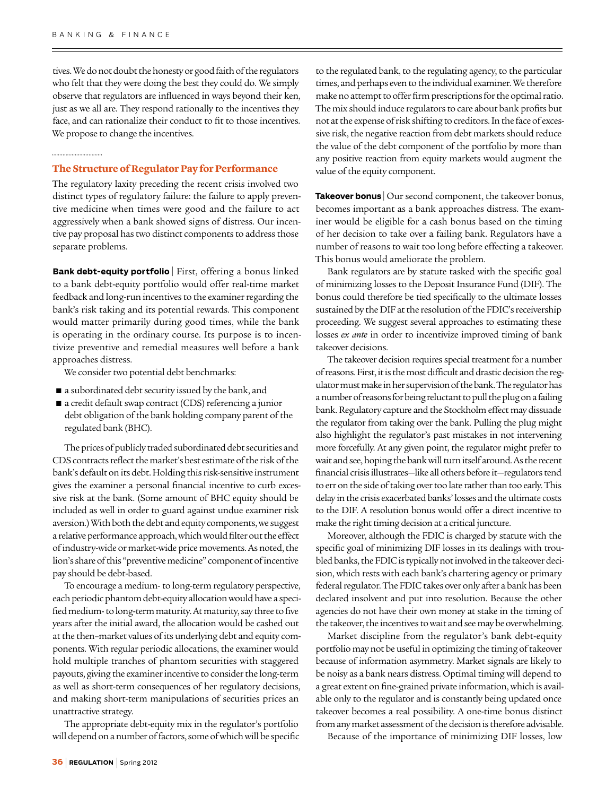tives. We do not doubt the honesty or good faith of the regulators who felt that they were doing the best they could do. We simply observe that regulators are influenced in ways beyond their ken, just as we all are. They respond rationally to the incentives they face, and can rationalize their conduct to fit to those incentives. We propose to change the incentives.

#### **The Structure of Regulator Pay for Performance**

The regulatory laxity preceding the recent crisis involved two distinct types of regulatory failure: the failure to apply preventive medicine when times were good and the failure to act aggressively when a bank showed signs of distress. Our incentive pay proposal has two distinct components to address those separate problems.

**Bank debt-equity portfolio** | First, offering a bonus linked to a bank debt-equity portfolio would offer real-time market feedback and long-run incentives to the examiner regarding the bank's risk taking and its potential rewards. This component would matter primarily during good times, while the bank is operating in the ordinary course. Its purpose is to incentivize preventive and remedial measures well before a bank approaches distress.

We consider two potential debt benchmarks:

- a subordinated debt security issued by the bank, and
- a credit default swap contract (CDS) referencing a junior debt obligation of the bank holding company parent of the regulated bank (BHC).

The prices of publicly traded subordinated debt securities and CDS contracts reflect the market's best estimate of the risk of the bank's default on its debt. Holding this risk-sensitive instrument gives the examiner a personal financial incentive to curb excessive risk at the bank. (Some amount of BHC equity should be included as well in order to guard against undue examiner risk aversion.) With both the debt and equity components, we suggest a relative performance approach, which would filter out the effect of industry-wide or market-wide price movements. As noted, the lion's share of this "preventive medicine" component of incentive pay should be debt-based.

To encourage a medium- to long-term regulatory perspective, each periodic phantom debt-equity allocation would have a specified medium- to long-term maturity. At maturity, say three to five years after the initial award, the allocation would be cashed out at the then–market values of its underlying debt and equity components. With regular periodic allocations, the examiner would hold multiple tranches of phantom securities with staggered payouts, giving the examiner incentive to consider the long-term as well as short-term consequences of her regulatory decisions, and making short-term manipulations of securities prices an unattractive strategy.

The appropriate debt-equity mix in the regulator's portfolio will depend on a number of factors, some of which will be specific to the regulated bank, to the regulating agency, to the particular times, and perhaps even to the individual examiner. We therefore make no attempt to offer firm prescriptions for the optimal ratio. The mix should induce regulators to care about bank profits but not at the expense of risk shifting to creditors. In the face of excessive risk, the negative reaction from debt markets should reduce the value of the debt component of the portfolio by more than any positive reaction from equity markets would augment the value of the equity component.

**Takeover bonus** | Our second component, the takeover bonus, becomes important as a bank approaches distress. The examiner would be eligible for a cash bonus based on the timing of her decision to take over a failing bank. Regulators have a number of reasons to wait too long before effecting a takeover. This bonus would ameliorate the problem.

Bank regulators are by statute tasked with the specific goal of minimizing losses to the Deposit Insurance Fund (DIF). The bonus could therefore be tied specifically to the ultimate losses sustained by the DIF at the resolution of the FDIC's receivership proceeding. We suggest several approaches to estimating these losses *ex ante* in order to incentivize improved timing of bank takeover decisions.

The takeover decision requires special treatment for a number of reasons. First, it is the most difficult and drastic decision the regulator must make in her supervision of the bank. The regulator has a number of reasons for being reluctant to pull the plug on a failing bank. Regulatory capture and the Stockholm effect may dissuade the regulator from taking over the bank. Pulling the plug might also highlight the regulator's past mistakes in not intervening more forcefully. At any given point, the regulator might prefer to wait and see, hoping the bank will turn itself around. As the recent financial crisis illustrates—like all others before it—regulators tend to err on the side of taking over too late rather than too early. This delay in the crisis exacerbated banks' losses and the ultimate costs to the DIF. A resolution bonus would offer a direct incentive to make the right timing decision at a critical juncture.

Moreover, although the FDIC is charged by statute with the specific goal of minimizing DIF losses in its dealings with troubled banks, the FDIC is typically not involved in the takeover decision, which rests with each bank's chartering agency or primary federal regulator. The FDIC takes over only after a bank has been declared insolvent and put into resolution. Because the other agencies do not have their own money at stake in the timing of the takeover, the incentives to wait and see may be overwhelming.

Market discipline from the regulator's bank debt-equity portfolio may not be useful in optimizing the timing of takeover because of information asymmetry. Market signals are likely to be noisy as a bank nears distress. Optimal timing will depend to a great extent on fine-grained private information, which is available only to the regulator and is constantly being updated once takeover becomes a real possibility. A one-time bonus distinct from any market assessment of the decision is therefore advisable.

Because of the importance of minimizing DIF losses, low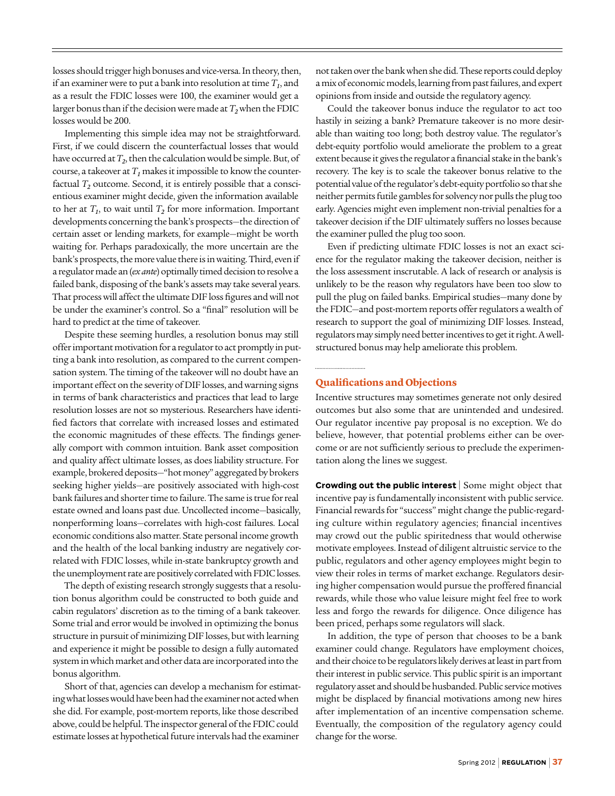losses should trigger high bonuses and vice-versa. In theory, then, if an examiner were to put a bank into resolution at time  $T<sub>t</sub>$ , and as a result the FDIC losses were 100, the examiner would get a larger bonus than if the decision were made at *T2* when the FDIC losses would be 200.

Implementing this simple idea may not be straightforward. First, if we could discern the counterfactual losses that would have occurred at  $T_2$ , then the calculation would be simple. But, of course, a takeover at  $T_I$  makes it impossible to know the counterfactual  $T_2$  outcome. Second, it is entirely possible that a conscientious examiner might decide, given the information available to her at  $T_1$ , to wait until  $T_2$  for more information. Important developments concerning the bank's prospects—the direction of certain asset or lending markets, for example—might be worth waiting for. Perhaps paradoxically, the more uncertain are the bank's prospects, the more value there is in waiting. Third, even if a regulator made an (*ex ante*) optimally timed decision to resolve a failed bank, disposing of the bank's assets may take several years. That process will affect the ultimate DIF loss figures and will not be under the examiner's control. So a "final" resolution will be hard to predict at the time of takeover.

Despite these seeming hurdles, a resolution bonus may still offer important motivation for a regulator to act promptly in putting a bank into resolution, as compared to the current compensation system. The timing of the takeover will no doubt have an important effect on the severity of DIF losses, and warning signs in terms of bank characteristics and practices that lead to large resolution losses are not so mysterious. Researchers have identified factors that correlate with increased losses and estimated the economic magnitudes of these effects. The findings generally comport with common intuition. Bank asset composition and quality affect ultimate losses, as does liability structure. For example, brokered deposits—"hot money" aggregated by brokers seeking higher yields—are positively associated with high-cost bank failures and shorter time to failure. The same is true for real estate owned and loans past due. Uncollected income—basically, nonperforming loans—correlates with high-cost failures. Local economic conditions also matter. State personal income growth and the health of the local banking industry are negatively correlated with FDIC losses, while in-state bankruptcy growth and the unemployment rate are positively correlated with FDIC losses.

The depth of existing research strongly suggests that a resolution bonus algorithm could be constructed to both guide and cabin regulators' discretion as to the timing of a bank takeover. Some trial and error would be involved in optimizing the bonus structure in pursuit of minimizing DIF losses, but with learning and experience it might be possible to design a fully automated system in which market and other data are incorporated into the bonus algorithm.

Short of that, agencies can develop a mechanism for estimating what losses would have been had the examiner not acted when she did. For example, post-mortem reports, like those described above, could be helpful. The inspector general of the FDIC could estimate losses at hypothetical future intervals had the examiner

not taken over the bank when she did. These reports could deploy a mix of economic models, learning from past failures, and expert opinions from inside and outside the regulatory agency.

Could the takeover bonus induce the regulator to act too hastily in seizing a bank? Premature takeover is no more desirable than waiting too long; both destroy value. The regulator's debt-equity portfolio would ameliorate the problem to a great extent because it gives the regulator a financial stake in the bank's recovery. The key is to scale the takeover bonus relative to the potential value of the regulator's debt-equity portfolio so that she neither permits futile gambles for solvency nor pulls the plug too early. Agencies might even implement non-trivial penalties for a takeover decision if the DIF ultimately suffers no losses because the examiner pulled the plug too soon.

Even if predicting ultimate FDIC losses is not an exact science for the regulator making the takeover decision, neither is the loss assessment inscrutable. A lack of research or analysis is unlikely to be the reason why regulators have been too slow to pull the plug on failed banks. Empirical studies—many done by the FDIC—and post-mortem reports offer regulators a wealth of research to support the goal of minimizing DIF losses. Instead, regulators may simply need better incentives to get it right. A wellstructured bonus may help ameliorate this problem.

#### **Qualifications and Objections**

............................

Incentive structures may sometimes generate not only desired outcomes but also some that are unintended and undesired. Our regulator incentive pay proposal is no exception. We do believe, however, that potential problems either can be overcome or are not sufficiently serious to preclude the experimentation along the lines we suggest.

**Crowding out the public interest** | Some might object that incentive pay is fundamentally inconsistent with public service. Financial rewards for "success" might change the public-regarding culture within regulatory agencies; financial incentives may crowd out the public spiritedness that would otherwise motivate employees. Instead of diligent altruistic service to the public, regulators and other agency employees might begin to view their roles in terms of market exchange. Regulators desiring higher compensation would pursue the proffered financial rewards, while those who value leisure might feel free to work less and forgo the rewards for diligence. Once diligence has been priced, perhaps some regulators will slack.

In addition, the type of person that chooses to be a bank examiner could change. Regulators have employment choices, and their choice to be regulators likely derives at least in part from their interest in public service. This public spirit is an important regulatory asset and should be husbanded. Public service motives might be displaced by financial motivations among new hires after implementation of an incentive compensation scheme. Eventually, the composition of the regulatory agency could change for the worse.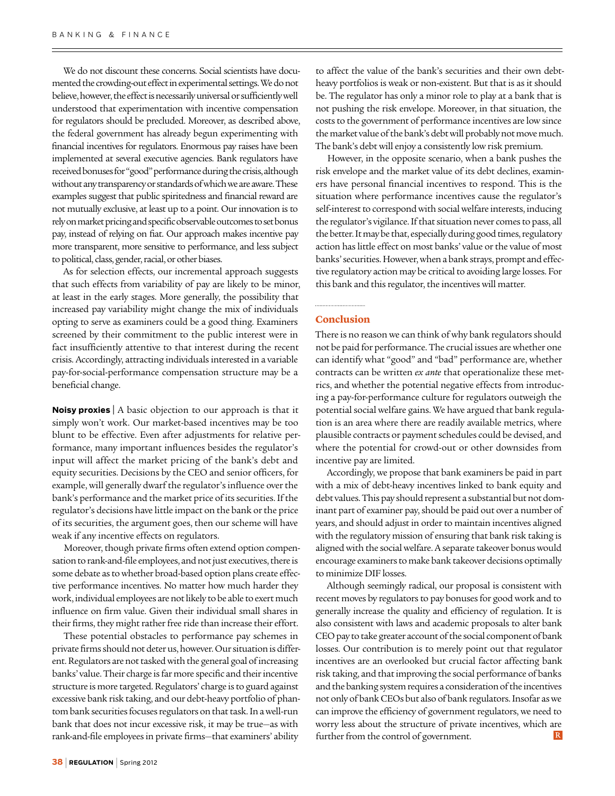We do not discount these concerns. Social scientists have documented the crowding-out effect in experimental settings. We do not believe, however, the effect is necessarily universal or sufficiently well understood that experimentation with incentive compensation for regulators should be precluded. Moreover, as described above, the federal government has already begun experimenting with financial incentives for regulators. Enormous pay raises have been implemented at several executive agencies. Bank regulators have received bonuses for "good" performance during the crisis, although without any transparency or standards of which we are aware. These examples suggest that public spiritedness and financial reward are not mutually exclusive, at least up to a point. Our innovation is to rely on market pricing and specific observable outcomes to set bonus pay, instead of relying on fiat. Our approach makes incentive pay more transparent, more sensitive to performance, and less subject to political, class, gender, racial, or other biases.

As for selection effects, our incremental approach suggests that such effects from variability of pay are likely to be minor, at least in the early stages. More generally, the possibility that increased pay variability might change the mix of individuals opting to serve as examiners could be a good thing. Examiners screened by their commitment to the public interest were in fact insufficiently attentive to that interest during the recent crisis. Accordingly, attracting individuals interested in a variable pay-for-social-performance compensation structure may be a beneficial change.

**Noisy proxies** <sup>|</sup> A basic objection to our approach is that it simply won't work. Our market-based incentives may be too blunt to be effective. Even after adjustments for relative performance, many important influences besides the regulator's input will affect the market pricing of the bank's debt and equity securities. Decisions by the CEO and senior officers, for example, will generally dwarf the regulator's influence over the bank's performance and the market price of its securities. If the regulator's decisions have little impact on the bank or the price of its securities, the argument goes, then our scheme will have weak if any incentive effects on regulators.

Moreover, though private firms often extend option compensation to rank-and-file employees, and not just executives, there is some debate as to whether broad-based option plans create effective performance incentives. No matter how much harder they work, individual employees are not likely to be able to exert much influence on firm value. Given their individual small shares in their firms, they might rather free ride than increase their effort.

These potential obstacles to performance pay schemes in private firms should not deter us, however. Our situation is different. Regulators are not tasked with the general goal of increasing banks' value. Their charge is far more specific and their incentive structure is more targeted. Regulators' charge is to guard against excessive bank risk taking, and our debt-heavy portfolio of phantom bank securities focuses regulators on that task. In a well-run bank that does not incur excessive risk, it may be true—as with rank-and-file employees in private firms—that examiners' ability

to affect the value of the bank's securities and their own debtheavy portfolios is weak or non-existent. But that is as it should be. The regulator has only a minor role to play at a bank that is not pushing the risk envelope. Moreover, in that situation, the costs to the government of performance incentives are low since the market value of the bank's debt will probably not move much. The bank's debt will enjoy a consistently low risk premium.

However, in the opposite scenario, when a bank pushes the risk envelope and the market value of its debt declines, examiners have personal financial incentives to respond. This is the situation where performance incentives cause the regulator's self-interest to correspond with social welfare interests, inducing the regulator's vigilance. If that situation never comes to pass, all the better. It may be that, especially during good times, regulatory action has little effect on most banks' value or the value of most banks' securities. However, when a bank strays, prompt and effective regulatory action may be critical to avoiding large losses. For this bank and this regulator, the incentives will matter.

#### ............................ **Conclusion**

There is no reason we can think of why bank regulators should not be paid for performance. The crucial issues are whether one can identify what "good" and "bad" performance are, whether contracts can be written *ex ante* that operationalize these metrics, and whether the potential negative effects from introducing a pay-for-performance culture for regulators outweigh the potential social welfare gains. We have argued that bank regulation is an area where there are readily available metrics, where plausible contracts or payment schedules could be devised, and where the potential for crowd-out or other downsides from incentive pay are limited.

Accordingly, we propose that bank examiners be paid in part with a mix of debt-heavy incentives linked to bank equity and debt values. This pay should represent a substantial but not dominant part of examiner pay, should be paid out over a number of years, and should adjust in order to maintain incentives aligned with the regulatory mission of ensuring that bank risk taking is aligned with the social welfare. A separate takeover bonus would encourage examiners to make bank takeover decisions optimally to minimize DIF losses.

Although seemingly radical, our proposal is consistent with recent moves by regulators to pay bonuses for good work and to generally increase the quality and efficiency of regulation. It is also consistent with laws and academic proposals to alter bank CEO pay to take greater account of the social component of bank losses. Our contribution is to merely point out that regulator incentives are an overlooked but crucial factor affecting bank risk taking, and that improving the social performance of banks and the banking system requires a consideration of the incentives not only of bank CEOs but also of bank regulators. Insofar as we can improve the efficiency of government regulators, we need to worry less about the structure of private incentives, which are  $\mathbb R$ further from the control of government.